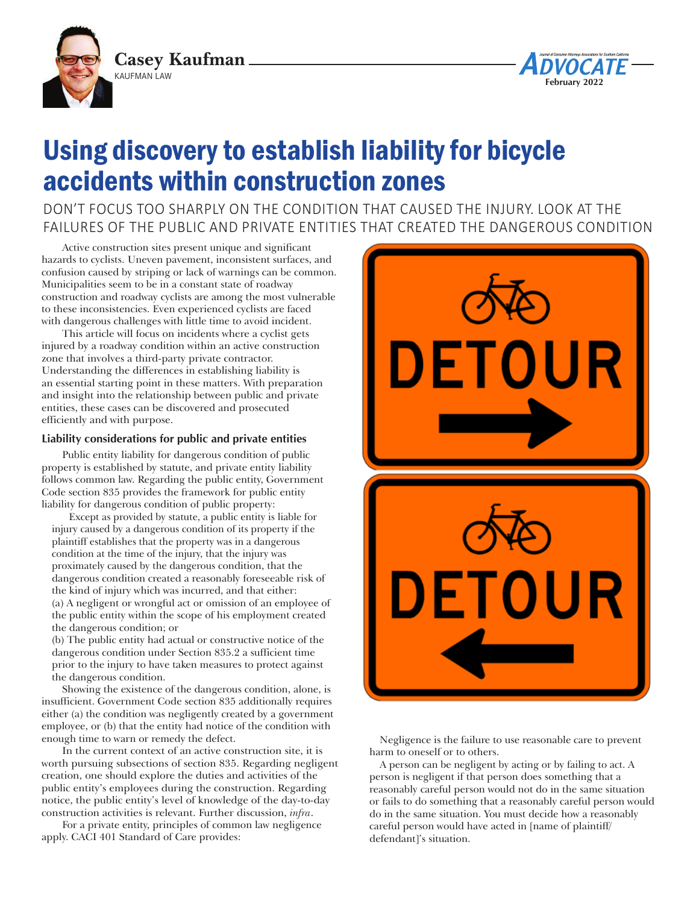



# Using discovery to establish liability for bicycle accidents within construction zones

DON'T FOCUS TOO SHARPLY ON THE CONDITION THAT CAUSED THE INJURY. LOOK AT THE FAILURES OF THE PUBLIC AND PRIVATE ENTITIES THAT CREATED THE DANGEROUS CONDITION

Active construction sites present unique and significant hazards to cyclists. Uneven pavement, inconsistent surfaces, and confusion caused by striping or lack of warnings can be common. Municipalities seem to be in a constant state of roadway construction and roadway cyclists are among the most vulnerable to these inconsistencies. Even experienced cyclists are faced with dangerous challenges with little time to avoid incident.

This article will focus on incidents where a cyclist gets injured by a roadway condition within an active construction zone that involves a third-party private contractor. Understanding the differences in establishing liability is an essential starting point in these matters. With preparation and insight into the relationship between public and private entities, these cases can be discovered and prosecuted efficiently and with purpose.

# **Liability considerations for public and private entities**

Public entity liability for dangerous condition of public property is established by statute, and private entity liability follows common law. Regarding the public entity, Government Code section 835 provides the framework for public entity liability for dangerous condition of public property:

Except as provided by statute, a public entity is liable for injury caused by a dangerous condition of its property if the plaintiff establishes that the property was in a dangerous condition at the time of the injury, that the injury was proximately caused by the dangerous condition, that the dangerous condition created a reasonably foreseeable risk of the kind of injury which was incurred, and that either: (a) A negligent or wrongful act or omission of an employee of the public entity within the scope of his employment created the dangerous condition; or

(b) The public entity had actual or constructive notice of the dangerous condition under Section 835.2 a sufficient time prior to the injury to have taken measures to protect against the dangerous condition.

Showing the existence of the dangerous condition, alone, is insufficient. Government Code section 835 additionally requires either (a) the condition was negligently created by a government employee, or (b) that the entity had notice of the condition with enough time to warn or remedy the defect.

In the current context of an active construction site, it is worth pursuing subsections of section 835. Regarding negligent creation, one should explore the duties and activities of the public entity's employees during the construction. Regarding notice, the public entity's level of knowledge of the day-to-day construction activities is relevant. Further discussion, *infra*.

For a private entity, principles of common law negligence apply. CACI 401 Standard of Care provides:



Negligence is the failure to use reasonable care to prevent harm to oneself or to others.

A person can be negligent by acting or by failing to act. A person is negligent if that person does something that a reasonably careful person would not do in the same situation or fails to do something that a reasonably careful person would do in the same situation. You must decide how a reasonably careful person would have acted in [name of plaintiff/ defendant]'s situation.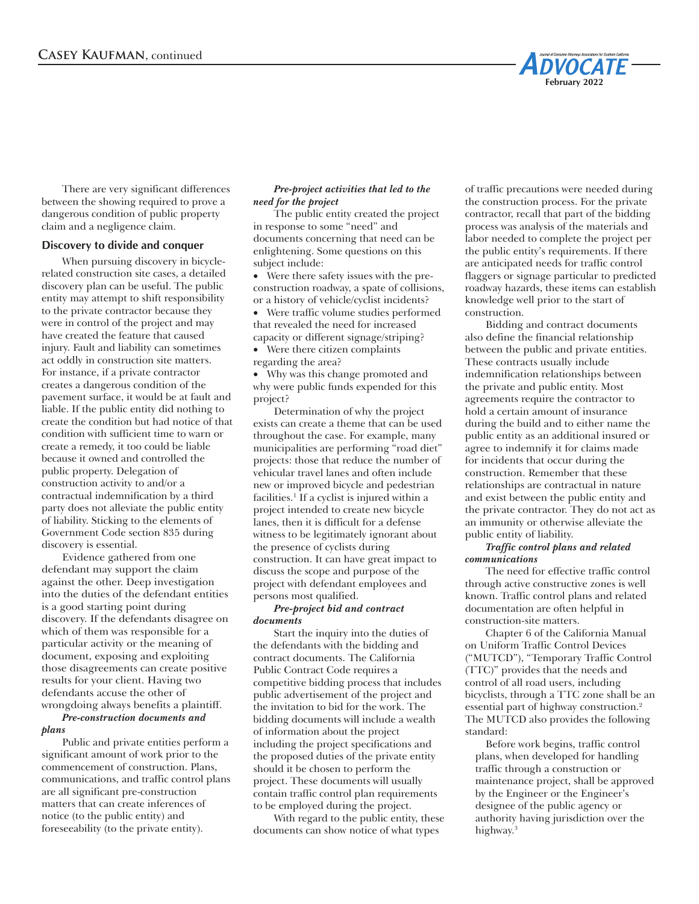

There are very significant differences between the showing required to prove a dangerous condition of public property claim and a negligence claim.

## **Discovery to divide and conquer**

When pursuing discovery in bicyclerelated construction site cases, a detailed discovery plan can be useful. The public entity may attempt to shift responsibility to the private contractor because they were in control of the project and may have created the feature that caused injury. Fault and liability can sometimes act oddly in construction site matters. For instance, if a private contractor creates a dangerous condition of the pavement surface, it would be at fault and liable. If the public entity did nothing to create the condition but had notice of that condition with sufficient time to warn or create a remedy, it too could be liable because it owned and controlled the public property. Delegation of construction activity to and/or a contractual indemnification by a third party does not alleviate the public entity of liability. Sticking to the elements of Government Code section 835 during discovery is essential.

Evidence gathered from one defendant may support the claim against the other. Deep investigation into the duties of the defendant entities is a good starting point during discovery. If the defendants disagree on which of them was responsible for a particular activity or the meaning of document, exposing and exploiting those disagreements can create positive results for your client. Having two defendants accuse the other of wrongdoing always benefits a plaintiff. *Pre-construction documents and* 

# *plans*

Public and private entities perform a significant amount of work prior to the commencement of construction. Plans, communications, and traffic control plans are all significant pre-construction matters that can create inferences of notice (to the public entity) and foreseeability (to the private entity).

#### *Pre-project activities that led to the need for the project*

The public entity created the project in response to some "need" and documents concerning that need can be enlightening. Some questions on this subject include:

• Were there safety issues with the preconstruction roadway, a spate of collisions, or a history of vehicle/cyclist incidents?

• Were traffic volume studies performed that revealed the need for increased capacity or different signage/striping?

• Were there citizen complaints regarding the area?

• Why was this change promoted and why were public funds expended for this project?

Determination of why the project exists can create a theme that can be used throughout the case. For example, many municipalities are performing "road diet" projects: those that reduce the number of vehicular travel lanes and often include new or improved bicycle and pedestrian facilities.1 If a cyclist is injured within a project intended to create new bicycle lanes, then it is difficult for a defense witness to be legitimately ignorant about the presence of cyclists during construction. It can have great impact to discuss the scope and purpose of the project with defendant employees and persons most qualified.

#### *Pre-project bid and contract documents*

Start the inquiry into the duties of the defendants with the bidding and contract documents. The California Public Contract Code requires a competitive bidding process that includes public advertisement of the project and the invitation to bid for the work. The bidding documents will include a wealth of information about the project including the project specifications and the proposed duties of the private entity should it be chosen to perform the project. These documents will usually contain traffic control plan requirements to be employed during the project.

With regard to the public entity, these documents can show notice of what types

of traffic precautions were needed during the construction process. For the private contractor, recall that part of the bidding process was analysis of the materials and labor needed to complete the project per the public entity's requirements. If there are anticipated needs for traffic control flaggers or signage particular to predicted roadway hazards, these items can establish knowledge well prior to the start of construction.

Bidding and contract documents also define the financial relationship between the public and private entities. These contracts usually include indemnification relationships between the private and public entity. Most agreements require the contractor to hold a certain amount of insurance during the build and to either name the public entity as an additional insured or agree to indemnify it for claims made for incidents that occur during the construction. Remember that these relationships are contractual in nature and exist between the public entity and the private contractor. They do not act as an immunity or otherwise alleviate the public entity of liability.

#### *Traffic control plans and related communications*

The need for effective traffic control through active constructive zones is well known. Traffic control plans and related documentation are often helpful in construction-site matters.

Chapter 6 of the California Manual on Uniform Traffic Control Devices ("MUTCD"), "Temporary Traffic Control (TTC)" provides that the needs and control of all road users, including bicyclists, through a TTC zone shall be an essential part of highway construction.2 The MUTCD also provides the following standard:

Before work begins, traffic control plans, when developed for handling traffic through a construction or maintenance project, shall be approved by the Engineer or the Engineer's designee of the public agency or authority having jurisdiction over the highway.<sup>3</sup>